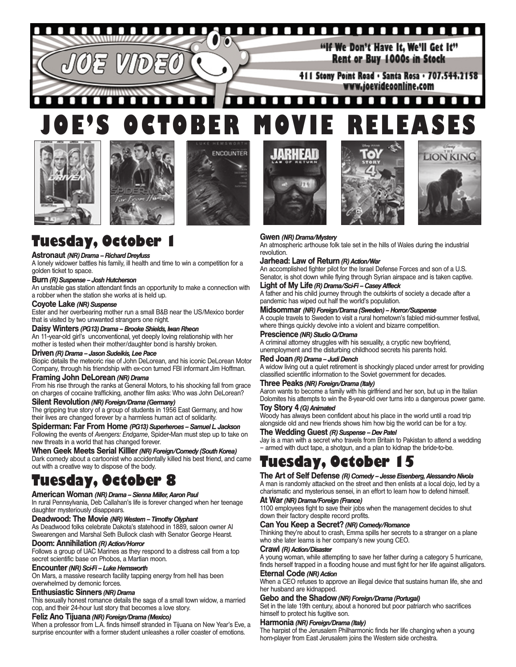

# **JOE'S OCTOBER MOVIE RELEASES**

ENCOUNTER





# **Tuesday, October 1**

#### **Astronaut** *(NR) Drama – Richard Dreyfuss*

A lonely widower battles his family, ill health and time to win a competition for a golden ticket to space.

#### **Burn** *(R) Suspense – Josh Hutcherson*

An unstable gas station attendant finds an opportunity to make a connection with a robber when the station she works at is held up.

#### **Coyote Lake** *(NR) Suspense*

Ester and her overbearing mother run a small B&B near the US/Mexico border that is visited by two unwanted strangers one night.

#### **Daisy Winters** *(PG13) Drama – Brooke Shields, Iwan Rheon*

An 11-year-old girl's unconventional, yet deeply loving relationship with her mother is tested when their mother/daughter bond is harshly broken.

#### **Driven** *(R) Drama – Jason Sudeikis, Lee Pace*

Biopic details the meteoric rise of John DeLorean, and his iconic DeLorean Motor Company, through his friendship with ex-con turned FBI informant Jim Hoffman.

#### **Framing John DeLorean** *(NR) Drama*

From his rise through the ranks at General Motors, to his shocking fall from grace on charges of cocaine trafficking, another film asks: Who was John DeLorean?

#### **Silent Revolution** *(NR) Foreign/Drama (Germany)*

The gripping true story of a group of students in 1956 East Germany, and how their lives are changed forever by a harmless human act of solidarity.

#### **Spiderman: Far From Home** *(PG13) Superheroes – Samuel L. Jackson*

Following the events of *Avengers: Endgame*, Spider-Man must step up to take on new threats in a world that has changed forever.

#### **When Geek Meets Serial Killler** *(NR) Foreign/Comedy (South Korea)* Dark comedy about a cartoonist who accidentally killed his best friend, and came out with a creative way to dispose of the body.

# **Tuesday, October 8**

#### **American Woman** *(NR) Drama – Sienna Miller, Aaron Paul*

In rural Pennsylvania, Deb Callahan's life is forever changed when her teenage daughter mysteriously disappears.

#### **Deadwood: The Movie** *(NR) Western – Timothy Olyphant*

As Deadwood folks celebrate Dakota's statehood in 1889, saloon owner Al Swearengen and Marshal Seth Bullock clash with Senator George Hearst.

#### **Doom: Annihilation** *(R) Action/Horror*

Follows a group of UAC Marines as they respond to a distress call from a top secret scientific base on Phobos, a Martian moon.

#### **Encounter** *(NR) Sci-Fi – Luke Hemsworth*

On Mars, a massive research facility tapping energy from hell has been overwhelmed by demonic forces.

#### **Enthusiastic Sinners** *(NR) Drama*

This sexually honest romance details the saga of a small town widow, a married cop, and their 24-hour lust story that becomes a love story.

#### **Feliz Ano Tijuana** *(NR) Foreign/Drama (Mexico)*

When a professor from L.A. finds himself stranded in Tijuana on New Year's Eve, a surprise encounter with a former student unleashes a roller coaster of emotions.







#### **Gwen** *(NR) Drama/Mystery*

An atmospheric arthouse folk tale set in the hills of Wales during the industrial revolution.

#### **Jarhead: Law of Return** *(R) Action/War*

An accomplished fighter pilot for the Israel Defense Forces and son of a U.S. Senator, is shot down while flying through Syrian airspace and is taken captive.

#### **Light of My Life** *(R) Drama/Sci-Fi – Casey Affleck*

A father and his child journey through the outskirts of society a decade after a pandemic has wiped out half the world's population.

#### **Midsommar** *(NR) Foreign/Drama (Sweden) – Horror/Suspense*

A couple travels to Sweden to visit a rural hometown's fabled mid-summer festival, where things quickly devolve into a violent and bizarre competition.

#### **Prescience** *(NR) Studio Q/Drama*

A criminal attorney struggles with his sexuality, a cryptic new boyfriend, unemployment and the disturbing childhood secrets his parents hold.

#### **Red Joan** *(R) Drama – Judi Dench*

A widow living out a quiet retirement is shockingly placed under arrest for providing classified scientific information to the Soviet government for decades.

#### **Three Peaks** *(NR) Foreign/Drama (Italy)*

Aaron wants to become a family with his girlfriend and her son, but up in the Italian Dolomites his attempts to win the 8-year-old over turns into a dangerous power game.

#### **Toy Story 4** *(G) Animated*

Woody has always been confident about his place in the world until a road trip alongside old and new friends shows him how big the world can be for a toy.

#### **The Wedding Guest** *(R) Suspense – Dev Patel*

Jay is a man with a secret who travels from Britain to Pakistan to attend a wedding – armed with duct tape, a shotgun, and a plan to kidnap the bride-to-be.

# **Tuesday, October 15**

**The Art of Self Defense** *(R) Comedy – Jesse Eisenberg, Alessandro Nivola* A man is randomly attacked on the street and then enlists at a local dojo, led by a charismatic and mysterious sensei, in an effort to learn how to defend himself.

#### **At War** *(NR) Drama/Foreign (France)*

1100 employees fight to save their jobs when the management decides to shut down their factory despite record profits.

#### **Can You Keep a Secret?** *(NR) Comedy/Romance*

Thinking they're about to crash, Emma spills her secrets to a stranger on a plane who she later learns is her company's new young CEO.

#### **Crawl** *(R) Action/Disaster*

A young woman, while attempting to save her father during a category 5 hurricane, finds herself trapped in a flooding house and must fight for her life against alligators.

#### **Eternal Code** *(NR) Action*

When a CEO refuses to approve an illegal device that sustains human life, she and her husband are kidnapped.

#### **Gebo and the Shadow** *(NR) Foreign/Drama (Portugal)*

Set in the late 19th century, about a honored but poor patriarch who sacrifices himself to protect his fugitive son.

#### **Harmonia** *(NR) Foreign/Drama (Italy)*

The harpist of the Jerusalem Philharmonic finds her life changing when a young horn-player from East Jerusalem joins the Western side orchestra.